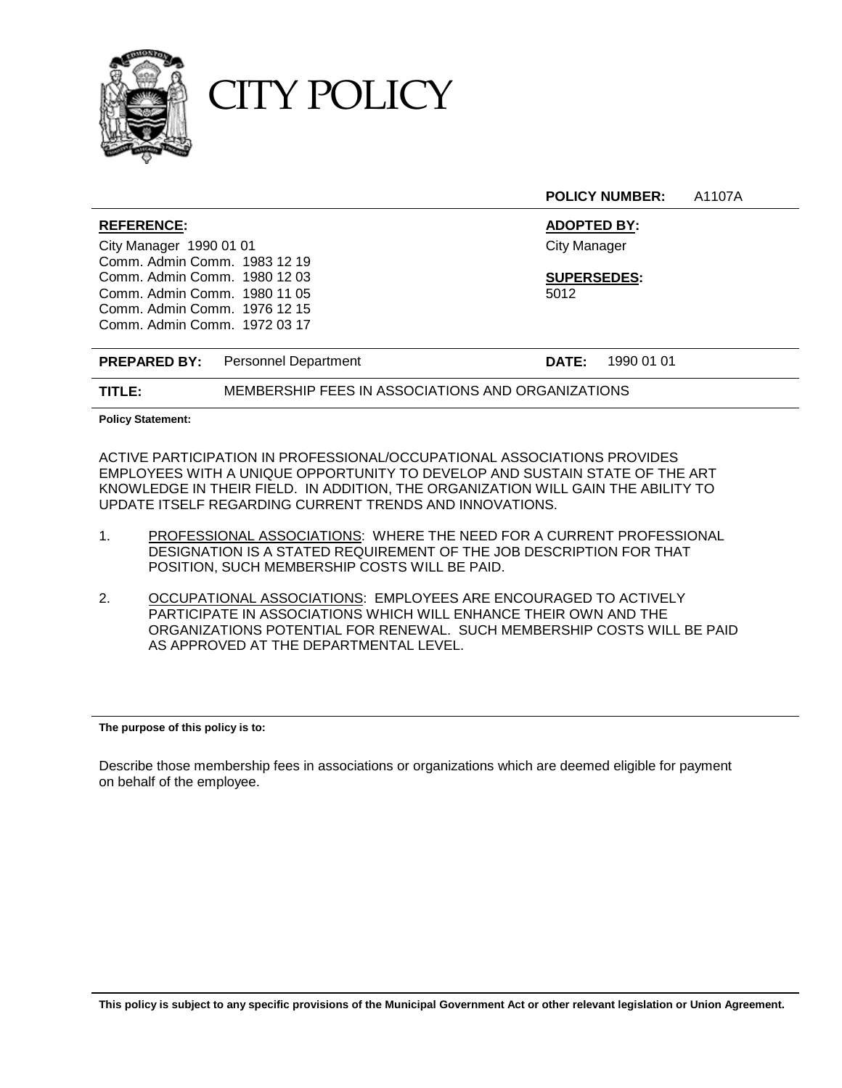

CITY POLICY

**POLICY NUMBER:** A1107A

| <b>REFERENCE:</b>                        | <b>ADOPTED BY:</b>         |
|------------------------------------------|----------------------------|
| City Manager 1990 01 01                  | <b>City Manager</b>        |
| Comm. Admin Comm. 1983 12 19             |                            |
| Comm. Admin Comm. 1980 12 03             | <b>SUPERSEDES:</b>         |
| Comm. Admin Comm. 1980 11 05             | 5012                       |
| Comm. Admin Comm. 1976 12 15             |                            |
| Comm. Admin Comm. 1972 03 17             |                            |
|                                          |                            |
| <b>PREPARED BY:</b> Personnel Department | 1990 01 01<br><b>DATE:</b> |

**TITLE:** MEMBERSHIP FEES IN ASSOCIATIONS AND ORGANIZATIONS

**Policy Statement:**

ACTIVE PARTICIPATION IN PROFESSIONAL/OCCUPATIONAL ASSOCIATIONS PROVIDES EMPLOYEES WITH A UNIQUE OPPORTUNITY TO DEVELOP AND SUSTAIN STATE OF THE ART KNOWLEDGE IN THEIR FIELD. IN ADDITION, THE ORGANIZATION WILL GAIN THE ABILITY TO UPDATE ITSELF REGARDING CURRENT TRENDS AND INNOVATIONS.

- 1. PROFESSIONAL ASSOCIATIONS: WHERE THE NEED FOR A CURRENT PROFESSIONAL DESIGNATION IS A STATED REQUIREMENT OF THE JOB DESCRIPTION FOR THAT POSITION, SUCH MEMBERSHIP COSTS WILL BE PAID.
- 2. OCCUPATIONAL ASSOCIATIONS: EMPLOYEES ARE ENCOURAGED TO ACTIVELY PARTICIPATE IN ASSOCIATIONS WHICH WILL ENHANCE THEIR OWN AND THE ORGANIZATIONS POTENTIAL FOR RENEWAL. SUCH MEMBERSHIP COSTS WILL BE PAID AS APPROVED AT THE DEPARTMENTAL LEVEL.

**The purpose of this policy is to:**

Describe those membership fees in associations or organizations which are deemed eligible for payment on behalf of the employee.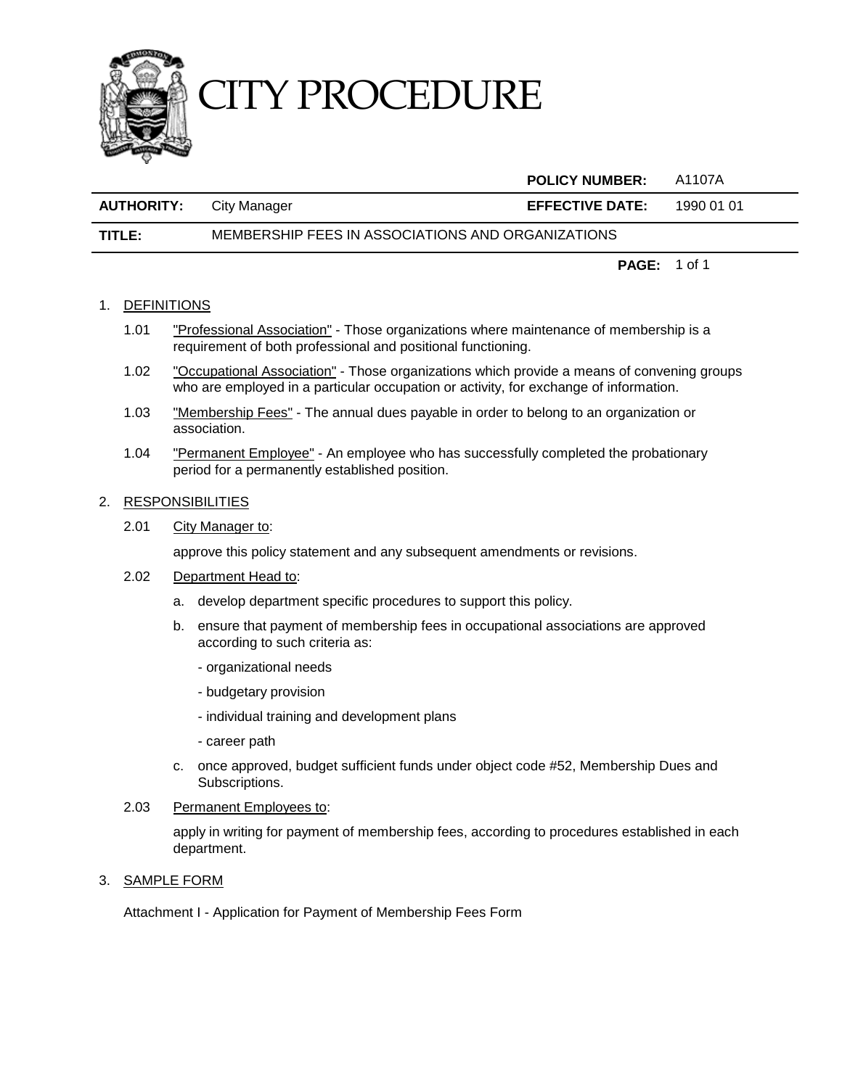

## CITY PROCEDURE

|                   |                                                   | <b>POLICY NUMBER:</b>  | A1107A     |
|-------------------|---------------------------------------------------|------------------------|------------|
| <b>AUTHORITY:</b> | City Manager                                      | <b>EFFECTIVE DATE:</b> | 1990 01 01 |
| TITLE:            | MEMBERSHIP FEES IN ASSOCIATIONS AND ORGANIZATIONS |                        |            |

**PAGE:** 1 of 1

## 1. DEFINITIONS

- 1.01 "Professional Association" Those organizations where maintenance of membership is a requirement of both professional and positional functioning.
- 1.02 "Occupational Association" Those organizations which provide a means of convening groups who are employed in a particular occupation or activity, for exchange of information.
- 1.03 "Membership Fees" The annual dues payable in order to belong to an organization or association.
- 1.04 "Permanent Employee" An employee who has successfully completed the probationary period for a permanently established position.

## 2. RESPONSIBILITIES

2.01 City Manager to:

approve this policy statement and any subsequent amendments or revisions.

- 2.02 Department Head to:
	- a. develop department specific procedures to support this policy.
	- b. ensure that payment of membership fees in occupational associations are approved according to such criteria as:
		- organizational needs
		- budgetary provision
		- individual training and development plans
		- career path
	- c. once approved, budget sufficient funds under object code #52, Membership Dues and Subscriptions.
- 2.03 Permanent Employees to:

apply in writing for payment of membership fees, according to procedures established in each department.

## 3. SAMPLE FORM

Attachment I - Application for Payment of Membership Fees Form